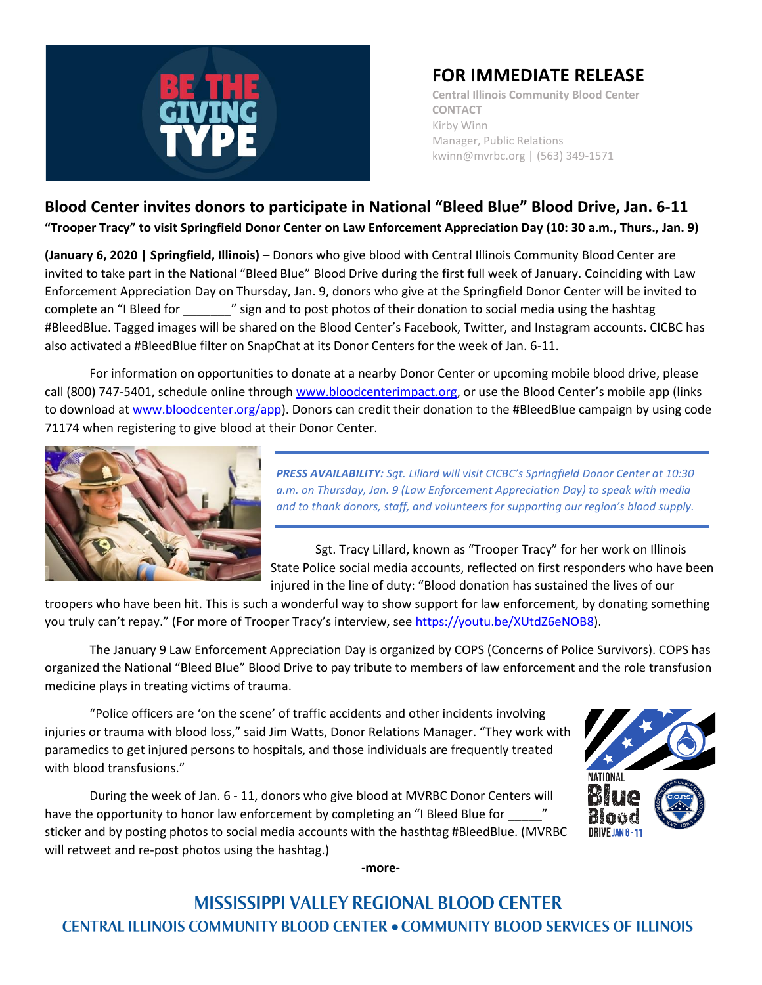

## **FOR IMMEDIATE RELEASE**

**Central Illinois Community Blood Center CONTACT** Kirby Winn Manager, Public Relations kwinn@mvrbc.org | (563) 349-1571

## **Blood Center invites donors to participate in National "Bleed Blue" Blood Drive, Jan. 6-11 "Trooper Tracy" to visit Springfield Donor Center on Law Enforcement Appreciation Day (10: 30 a.m., Thurs., Jan. 9)**

**(January 6, 2020 | Springfield, Illinois)** – Donors who give blood with Central Illinois Community Blood Center are invited to take part in the National "Bleed Blue" Blood Drive during the first full week of January. Coinciding with Law Enforcement Appreciation Day on Thursday, Jan. 9, donors who give at the Springfield Donor Center will be invited to complete an "I Bleed for \_\_\_\_\_\_\_" sign and to post photos of their donation to social media using the hashtag #BleedBlue. Tagged images will be shared on the Blood Center's Facebook, Twitter, and Instagram accounts. CICBC has also activated a #BleedBlue filter on SnapChat at its Donor Centers for the week of Jan. 6-11.

For information on opportunities to donate at a nearby Donor Center or upcoming mobile blood drive, please call (800) 747-5401, schedule online through [www.bloodcenterimpact.org](http://www.bloodcenterimpact.org/), or use the Blood Center's mobile app (links to download a[t www.bloodcenter.org/app\)](http://www.bloodcenter.org/app). Donors can credit their donation to the #BleedBlue campaign by using code 71174 when registering to give blood at their Donor Center.



*PRESS AVAILABILITY: Sgt. Lillard will visit CICBC's Springfield Donor Center at 10:30 a.m. on Thursday, Jan. 9 (Law Enforcement Appreciation Day) to speak with media and to thank donors, staff, and volunteers for supporting our region's blood supply.*

Sgt. Tracy Lillard, known as "Trooper Tracy" for her work on Illinois State Police social media accounts, reflected on first responders who have been injured in the line of duty: "Blood donation has sustained the lives of our

troopers who have been hit. This is such a wonderful way to show support for law enforcement, by donating something you truly can't repay." (For more of Trooper Tracy's interview, see [https://youtu.be/XUtdZ6eNOB8\)](https://youtu.be/XUtdZ6eNOB8).

The January 9 Law Enforcement Appreciation Day is organized by COPS (Concerns of Police Survivors). COPS has organized the National "Bleed Blue" Blood Drive to pay tribute to members of law enforcement and the role transfusion medicine plays in treating victims of trauma.

"Police officers are 'on the scene' of traffic accidents and other incidents involving injuries or trauma with blood loss," said Jim Watts, Donor Relations Manager. "They work with paramedics to get injured persons to hospitals, and those individuals are frequently treated with blood transfusions."

During the week of Jan. 6 - 11, donors who give blood at MVRBC Donor Centers will have the opportunity to honor law enforcement by completing an "I Bleed Blue for sticker and by posting photos to social media accounts with the hasthtag #BleedBlue. (MVRBC will retweet and re-post photos using the hashtag.)



**-more-**